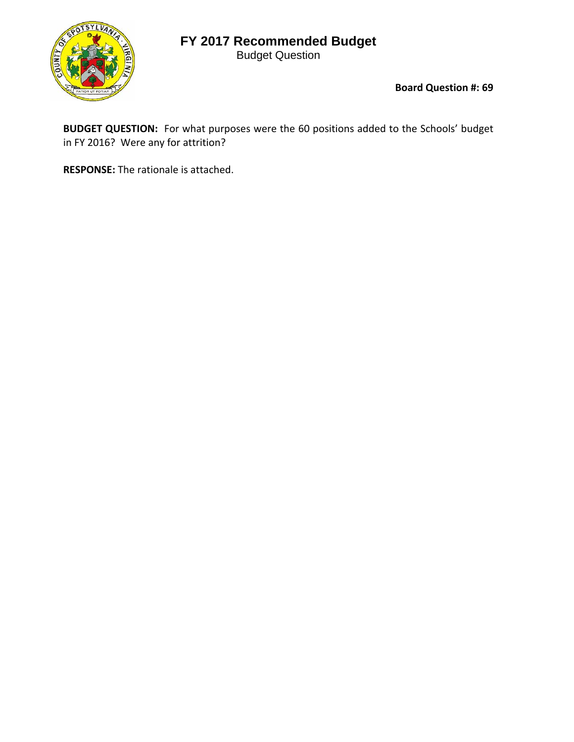## **FY 2017 Recommended Budget**

Budget Question



**Board Question #: 69**

**BUDGET QUESTION:** For what purposes were the 60 positions added to the Schools' budget in FY 2016? Were any for attrition?

**RESPONSE:** The rationale is attached.